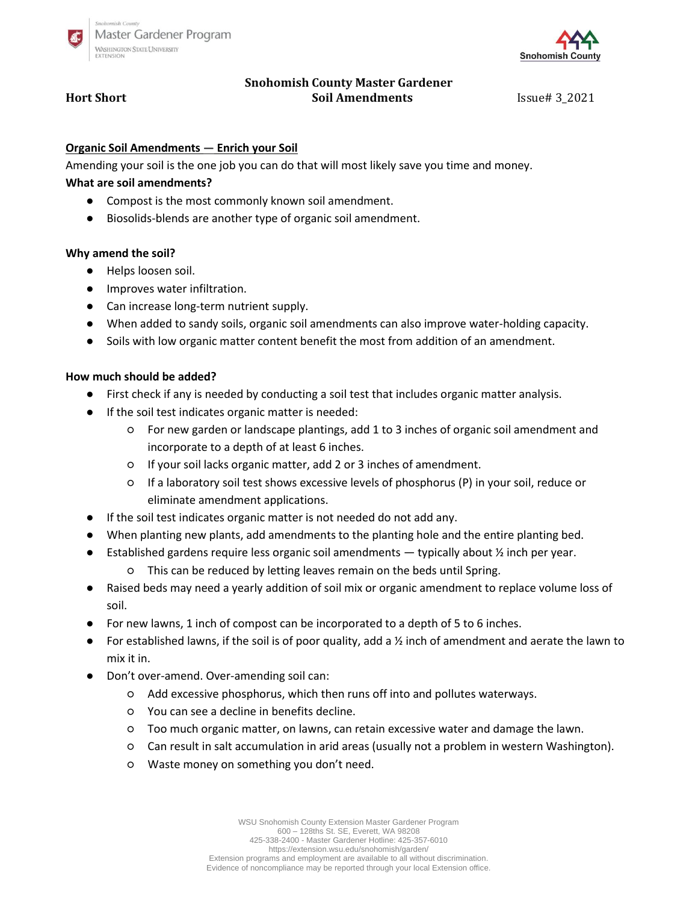



# **Snohomish County Master Gardener Hort Short Soil Amendments** Issue# 3\_2021

### **Organic Soil Amendments — Enrich your Soil**

Amending your soil is the one job you can do that will most likely save you time and money.

## **What are soil amendments?**

- Compost is the most commonly known soil amendment.
- Biosolids-blends are another type of organic soil amendment.

### **Why amend the soil?**

- Helps loosen soil.
- Improves water infiltration.
- Can increase long-term nutrient supply.
- When added to sandy soils, organic soil amendments can also improve water-holding capacity.
- Soils with low organic matter content benefit the most from addition of an amendment.

### **How much should be added?**

- First check if any is needed by conducting a soil test that includes organic matter analysis.
- If the soil test indicates organic matter is needed:
	- For new garden or landscape plantings, add 1 to 3 inches of organic soil amendment and incorporate to a depth of at least 6 inches.
	- If your soil lacks organic matter, add 2 or 3 inches of amendment.
	- If a laboratory soil test shows excessive levels of phosphorus (P) in your soil, reduce or eliminate amendment applications.
- If the soil test indicates organic matter is not needed do not add any.
- When planting new plants, add amendments to the planting hole and the entire planting bed.
- **•** Established gardens require less organic soil amendments  $-$  typically about  $\frac{1}{2}$  inch per year.
	- This can be reduced by letting leaves remain on the beds until Spring.
- Raised beds may need a yearly addition of soil mix or organic amendment to replace volume loss of soil.
- For new lawns, 1 inch of compost can be incorporated to a depth of 5 to 6 inches.
- For established lawns, if the soil is of poor quality, add a  $\frac{1}{2}$  inch of amendment and aerate the lawn to mix it in.
- Don't over-amend. Over-amending soil can:
	- Add excessive phosphorus, which then runs off into and pollutes waterways.
	- You can see a decline in benefits decline.
	- Too much organic matter, on lawns, can retain excessive water and damage the lawn.
	- Can result in salt accumulation in arid areas (usually not a problem in western Washington).
	- Waste money on something you don't need.